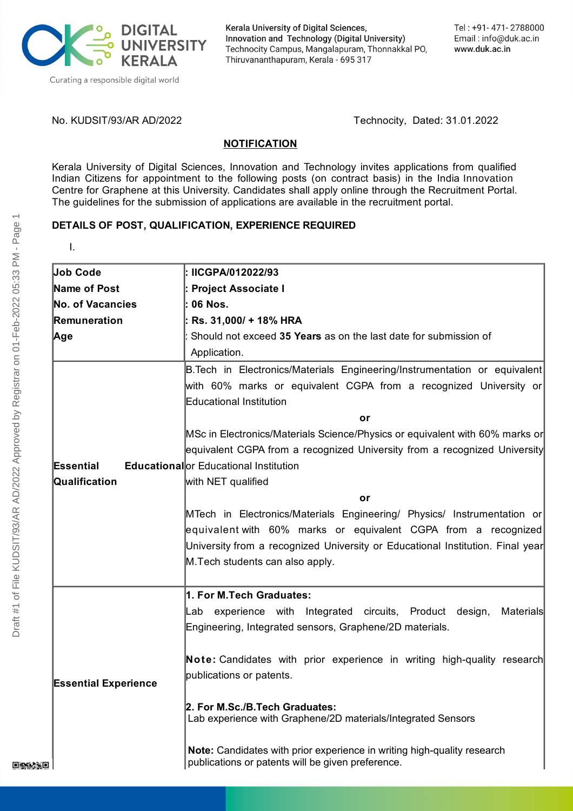

Kerala University of Digital Sciences, Innovation and Technology (Digital University) Technocity Campus, Mangalapuram, Thonnakkal PO, Thiruvananthapuram, Kerala - 695 317

No. KUDSIT/93/AR AD/2022 Technocity, Dated: 31.01.2022

#### **NOTIFICATION**

Kerala University of Digital Sciences, Innovation and Technology invites applications from qualified Indian Citizens for appointment to the following posts (on contract basis) in the India Innovation Centre for Graphene at this University. Candidates shall apply online through the Recruitment Portal. The guidelines for the submission of applications are available in the recruitment portal.

# **DETAILS OF POST, QUALIFICATION, EXPERIENCE REQUIRED**

| Job Code                |  |            |
|-------------------------|--|------------|
| <b>Name of Post</b>     |  | : F        |
| No. of Vacancies        |  |            |
| Remuneration            |  | : F        |
| Age                     |  |            |
|                         |  |            |
|                         |  | B.         |
|                         |  | lwi        |
|                         |  | Еc         |
|                         |  |            |
|                         |  | M:         |
|                         |  | leq        |
| Essential Educationalor |  |            |
|                         |  | lwi        |
| Qualification           |  |            |
|                         |  |            |
|                         |  |            |
|                         |  | M.<br> e q |
|                         |  | Ur         |

I.

| Job Code                    | IICGPA/012022/93                                                                |
|-----------------------------|---------------------------------------------------------------------------------|
| Name of Post                | ∣: Project Associate I                                                          |
| No. of Vacancies            | l: 06 Nos.                                                                      |
| Remuneration                | : Rs. 31,000/ + 18% HRA                                                         |
| Age                         | Should not exceed 35 Years as on the last date for submission of                |
|                             | Application.                                                                    |
|                             | B. Tech in Electronics/Materials Engineering/Instrumentation or equivalent      |
|                             | with 60% marks or equivalent CGPA from a recognized University or               |
|                             | <b>Educational Institution</b>                                                  |
|                             | or                                                                              |
|                             | MSc in Electronics/Materials Science/Physics or equivalent with 60% marks or    |
|                             | equivalent CGPA from a recognized University from a recognized University       |
| Essential                   | <b>Educational</b> or Educational Institution                                   |
| Qualification               | with NET qualified                                                              |
|                             | or                                                                              |
|                             | MTech in Electronics/Materials Engineering/ Physics/ Instrumentation or         |
|                             | equivalent with 60% marks or equivalent CGPA from a recognized                  |
|                             | University from a recognized University or Educational Institution. Final year  |
|                             | M. Tech students can also apply.                                                |
|                             |                                                                                 |
|                             | 1. For M.Tech Graduates:                                                        |
|                             | experience with Integrated circuits, Product design,<br><b>Materials</b><br>Lab |
|                             | Engineering, Integrated sensors, Graphene/2D materials.                         |
|                             | Note: Candidates with prior experience in writing high-quality research         |
|                             | publications or patents.                                                        |
| <b>Essential Experience</b> |                                                                                 |
|                             | 2. For M.Sc./B.Tech Graduates:                                                  |
|                             | Lab experience with Graphene/2D materials/Integrated Sensors                    |
|                             | Note: Candidates with prior experience in writing high-quality research         |
|                             | publications or patents will be given preference.                               |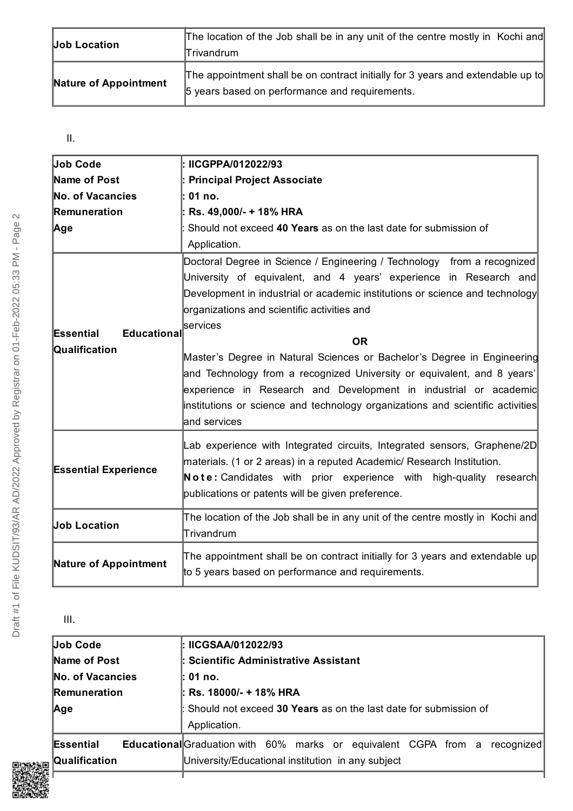| <b>Job Location</b>   | The location of the Job shall be in any unit of the centre mostly in Kochi and<br>Trivandrum                                      |
|-----------------------|-----------------------------------------------------------------------------------------------------------------------------------|
| Nature of Appointment | The appointment shall be on contract initially for 3 years and extendable up to<br>5 years based on performance and requirements. |

# II.

| Job Code                                  | : IICGPPA/012022/93                                                                                                                                                                                                                                                                                                                                                                                                                                                                                                                                                                                                              |
|-------------------------------------------|----------------------------------------------------------------------------------------------------------------------------------------------------------------------------------------------------------------------------------------------------------------------------------------------------------------------------------------------------------------------------------------------------------------------------------------------------------------------------------------------------------------------------------------------------------------------------------------------------------------------------------|
| Name of Post                              | : Principal Project Associate                                                                                                                                                                                                                                                                                                                                                                                                                                                                                                                                                                                                    |
| No. of Vacancies                          | : 01 no.                                                                                                                                                                                                                                                                                                                                                                                                                                                                                                                                                                                                                         |
| Remuneration                              | : Rs. 49,000/- + 18% HRA                                                                                                                                                                                                                                                                                                                                                                                                                                                                                                                                                                                                         |
| Age                                       | Should not exceed 40 Years as on the last date for submission of<br>Application.                                                                                                                                                                                                                                                                                                                                                                                                                                                                                                                                                 |
| Educational<br>Essential<br>Qualification | Doctoral Degree in Science / Engineering / Technology from a recognized<br>University of equivalent, and 4 years' experience in Research and<br>Development in industrial or academic institutions or science and technology<br>organizations and scientific activities and<br>services<br><b>OR</b><br>Master's Degree in Natural Sciences or Bachelor's Degree in Engineering<br>and Technology from a recognized University or equivalent, and 8 years'<br>experience in Research and Development in industrial or academic<br>institutions or science and technology organizations and scientific activities<br>and services |
| <b>Essential Experience</b>               | Lab experience with Integrated circuits, Integrated sensors, Graphene/2D<br>materials. (1 or 2 areas) in a reputed Academic/ Research Institution.<br>Note: Candidates with prior experience with high-quality research<br>publications or patents will be given preference.                                                                                                                                                                                                                                                                                                                                                     |
| <b>Job Location</b>                       | The location of the Job shall be in any unit of the centre mostly in Kochi and<br>Trivandrum                                                                                                                                                                                                                                                                                                                                                                                                                                                                                                                                     |
| <b>Nature of Appointment</b>              | The appointment shall be on contract initially for 3 years and extendable up<br>to 5 years based on performance and requirements.                                                                                                                                                                                                                                                                                                                                                                                                                                                                                                |

III.

| Job Code                   | ∣: IICGSAA/012022/93                                                                                                                   |
|----------------------------|----------------------------------------------------------------------------------------------------------------------------------------|
| Name of Post               | : Scientific Administrative Assistant                                                                                                  |
| No. of Vacancies           | l: 01 no.                                                                                                                              |
| <b>Remuneration</b>        | : Rs. 18000/- + 18% HRA                                                                                                                |
| Age                        | Should not exceed 30 Years as on the last date for submission of<br>Application.                                                       |
| Essential<br>Qualification | <b>Educational</b> Graduation with 60% marks or equivalent CGPA from a recognized<br>University/Educational institution in any subject |
|                            |                                                                                                                                        |

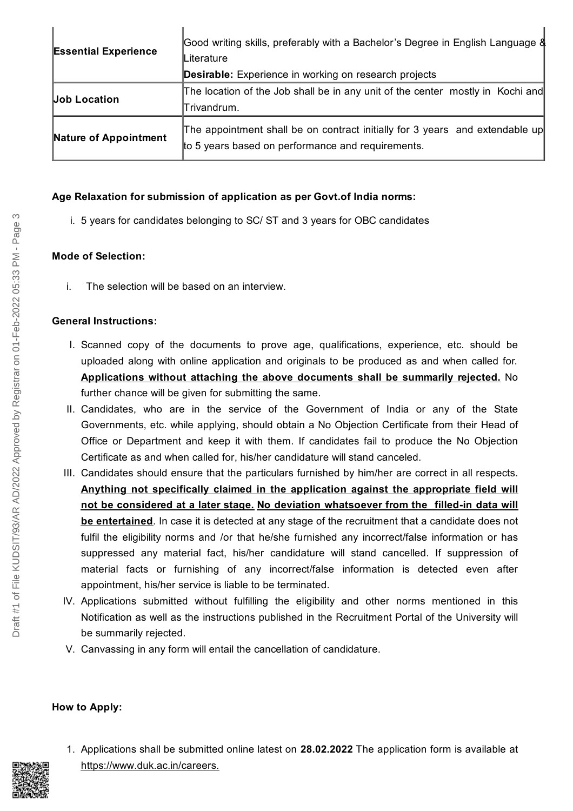| <b>Essential Experience</b> | Good writing skills, preferably with a Bachelor's Degree in English Language &<br>lLiterature                                     |
|-----------------------------|-----------------------------------------------------------------------------------------------------------------------------------|
|                             | <b>Desirable:</b> Experience in working on research projects                                                                      |
| <b>Job Location</b>         | The location of the Job shall be in any unit of the center mostly in Kochi and<br>Trivandrum.                                     |
| Nature of Appointment       | The appointment shall be on contract initially for 3 years and extendable up<br>to 5 years based on performance and requirements. |

#### **Age Relaxation for submission of application as per Govt.of India norms:**

i. 5 years for candidates belonging to SC/ ST and 3 years for OBC candidates

## **Mode of Selection:**

i. The selection will be based on an interview.

## **General Instructions:**

- I. Scanned copy of the documents to prove age, qualifications, experience, etc. should be uploaded along with online application and originals to be produced as and when called for. **Applications without attaching the above documents shall be summarily rejected.** No further chance will be given for submitting the same.
- II. Candidates, who are in the service of the Government of India or any of the State Governments, etc. while applying, should obtain a No Objection Certificate from their Head of Office or Department and keep it with them. If candidates fail to produce the No Objection Certificate as and when called for, his/her candidature will stand canceled.
- III. Candidates should ensure that the particulars furnished by him/her are correct in all respects. **Anything not specifically claimed in the application against the appropriate field will not be considered at a later stage. No deviation whatsoever from the filled-in data will be entertained**. In case it is detected at any stage of the recruitment that a candidate does not fulfil the eligibility norms and /or that he/she furnished any incorrect/false information or has suppressed any material fact, his/her candidature will stand cancelled. If suppression of material facts or furnishing of any incorrect/false information is detected even after appointment, his/her service is liable to be terminated.
- IV. Applications submitted without fulfilling the eligibility and other norms mentioned in this Notification as well as the instructions published in the Recruitment Portal of the University will be summarily rejected.
- V. Canvassing in any form will entail the cancellation of candidature.

#### **How to Apply:**

1. Applications shall be submitted online latest on **28.02.2022** The application form is available at <https://www.duk.ac.in/careers>.